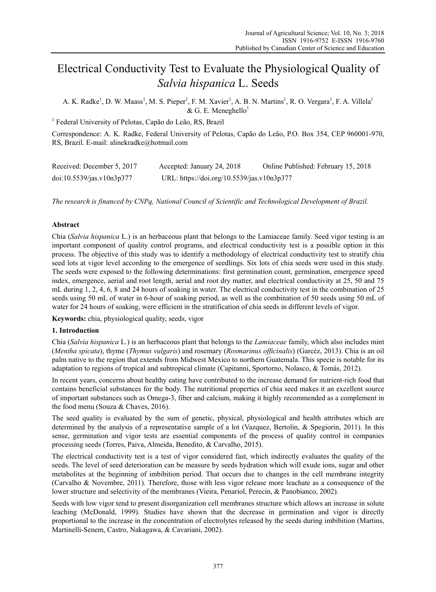# Electrical Conductivity Test to Evaluate the Physiological Quality of *Salvia hispanica* L. Seeds

A. K. Radke<sup>1</sup>, D. W. Maass<sup>1</sup>, M. S. Pieper<sup>1</sup>, F. M. Xavier<sup>1</sup>, A. B. N. Martins<sup>1</sup>, R. O. Vergara<sup>1</sup>, F. A. Villela<sup>1</sup>  $&$  G. E. Meneghello<sup>1</sup>

<sup>1</sup> Federal University of Pelotas, Capão do Leão, RS, Brazil

Correspondence: A. K. Radke, Federal University of Pelotas, Capão do Leão, P.O. Box 354, CEP 960001-970, RS, Brazil. E-mail: alinekradke@hotmail.com

| Received: December 5, 2017 | Accepted: January 24, 2018                 | Online Published: February 15, 2018 |
|----------------------------|--------------------------------------------|-------------------------------------|
| doi:10.5539/jas.v10n3p377  | URL: https://doi.org/10.5539/jas.v10n3p377 |                                     |

*The research is financed by CNPq, National Council of Scientific and Technological Development of Brazil.*

## **Abstract**

Chia (*Salvia hispanica* L.) is an herbaceous plant that belongs to the Lamiaceae family. Seed vigor testing is an important component of quality control programs, and electrical conductivity test is a possible option in this process. The objective of this study was to identify a methodology of electrical conductivity test to stratify chia seed lots at vigor level according to the emergence of seedlings. Six lots of chia seeds were used in this study. The seeds were exposed to the following determinations: first germination count, germination, emergence speed index, emergence, aerial and root length, aerial and root dry matter, and electrical conductivity at 25, 50 and 75 mL during 1, 2, 4, 6, 8 and 24 hours of soaking in water. The electrical conductivity test in the combination of 25 seeds using 50 mL of water in 6-hour of soaking period, as well as the combination of 50 seeds using 50 mL of water for 24 hours of soaking, were efficient in the stratification of chia seeds in different levels of vigor.

**Keywords:** chia, physiological quality, seeds, vigor

## **1. Introduction**

Chia (*Salvia hispanica* L.) is an herbaceous plant that belongs to the *Lamiaceae* family, which also includes mint (*Mentha spicata*), thyme (*Thymus vulgaris*) and rosemary (*Rosmarinus officinalis*) (Garcéz, 2013). Chia is an oil palm native to the region that extends from Midwest Mexico to northern Guatemala. This specie is notable for its adaptation to regions of tropical and subtropical climate (Capitanni, Sportorno, Nolasco, & Tomás, 2012).

In recent years, concerns about healthy eating have contributed to the increase demand for nutrient-rich food that contains beneficial substances for the body. The nutritional properties of chia seed makes it an excellent source of important substances such as Omega-3, fiber and calcium, making it highly recommended as a complement in the food menu (Souza & Chaves, 2016).

The seed quality is evaluated by the sum of genetic, physical, physiological and health attributes which are determined by the analysis of a representative sample of a lot (Vazquez, Bertolin, & Spegiorin, 2011). In this sense, germination and vigor tests are essential components of the process of quality control in companies processing seeds (Torres, Paiva, Almeida, Benedito, & Carvalho, 2015).

The electrical conductivity test is a test of vigor considered fast, which indirectly evaluates the quality of the seeds. The level of seed deterioration can be measure by seeds hydration which will exude ions, sugar and other metabolites at the beginning of imbibition period. That occurs due to changes in the cell membrane integrity (Carvalho & Novembre, 2011). Therefore, those with less vigor release more leachate as a consequence of the lower structure and selectivity of the membranes (Vieira, Penariol, Perecin, & Panobianco, 2002).

Seeds with low vigor tend to present disorganization cell membranes structure which allows an increase in solute leaching (McDonald, 1999). Studies have shown that the decrease in germination and vigor is directly proportional to the increase in the concentration of electrolytes released by the seeds during imbibition (Martins, Martinelli-Senem, Castro, Nakagawa, & Cavariani, 2002).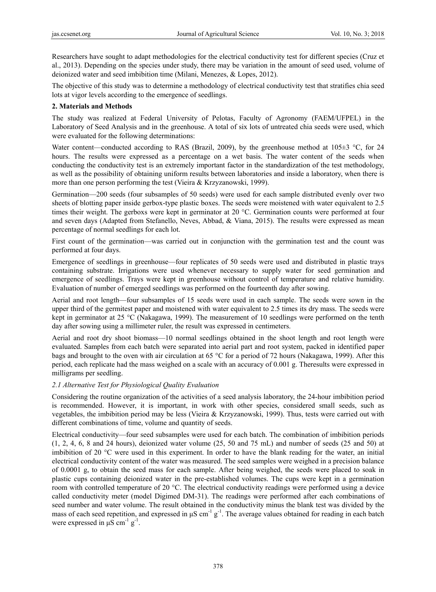Researchers have sought to adapt methodologies for the electrical conductivity test for different species (Cruz et al., 2013). Depending on the species under study, there may be variation in the amount of seed used, volume of deionized water and seed imbibition time (Milani, Menezes, & Lopes, 2012).

The objective of this study was to determine a methodology of electrical conductivity test that stratifies chia seed lots at vigor levels according to the emergence of seedlings.

#### **2. Materials and Methods**

The study was realized at Federal University of Pelotas, Faculty of Agronomy (FAEM/UFPEL) in the Laboratory of Seed Analysis and in the greenhouse. A total of six lots of untreated chia seeds were used, which were evaluated for the following determinations:

Water content—conducted according to RAS (Brazil, 2009), by the greenhouse method at  $105\pm3$  °C, for 24 hours. The results were expressed as a percentage on a wet basis. The water content of the seeds when conducting the conductivity test is an extremely important factor in the standardization of the test methodology, as well as the possibility of obtaining uniform results between laboratories and inside a laboratory, when there is more than one person performing the test (Vieira & Krzyzanowski, 1999).

Germination—200 seeds (four subsamples of 50 seeds) were used for each sample distributed evenly over two sheets of blotting paper inside gerbox-type plastic boxes. The seeds were moistened with water equivalent to 2.5 times their weight. The gerboxs were kept in germinator at 20 °C. Germination counts were performed at four and seven days (Adapted from Stefanello, Neves, Abbad, & Viana, 2015). The results were expressed as mean percentage of normal seedlings for each lot.

First count of the germination—was carried out in conjunction with the germination test and the count was performed at four days.

Emergence of seedlings in greenhouse—four replicates of 50 seeds were used and distributed in plastic trays containing substrate. Irrigations were used whenever necessary to supply water for seed germination and emergence of seedlings. Trays were kept in greenhouse without control of temperature and relative humidity. Evaluation of number of emerged seedlings was performed on the fourteenth day after sowing.

Aerial and root length—four subsamples of 15 seeds were used in each sample. The seeds were sown in the upper third of the germitest paper and moistened with water equivalent to 2.5 times its dry mass. The seeds were kept in germinator at 25 °C (Nakagawa, 1999). The measurement of 10 seedlings were performed on the tenth day after sowing using a millimeter ruler, the result was expressed in centimeters.

Aerial and root dry shoot biomass—10 normal seedlings obtained in the shoot length and root length were evaluated. Samples from each batch were separated into aerial part and root system, packed in identified paper bags and brought to the oven with air circulation at 65 °C for a period of 72 hours (Nakagawa, 1999). After this period, each replicate had the mass weighed on a scale with an accuracy of 0.001 g. Theresults were expressed in milligrams per seedling.

## *2.1 Alternative Test for Physiological Quality Evaluation*

Considering the routine organization of the activities of a seed analysis laboratory, the 24-hour imbibition period is recommended. However, it is important, in work with other species, considered small seeds, such as vegetables, the imbibition period may be less (Vieira & Krzyzanowski, 1999). Thus, tests were carried out with different combinations of time, volume and quantity of seeds.

Electrical conductivity—four seed subsamples were used for each batch. The combination of imbibition periods (1, 2, 4, 6, 8 and 24 hours), deionized water volume (25, 50 and 75 mL) and number of seeds (25 and 50) at imbibition of 20 °C were used in this experiment. In order to have the blank reading for the water, an initial electrical conductivity content of the water was measured. The seed samples were weighed in a precision balance of 0.0001 g, to obtain the seed mass for each sample. After being weighed, the seeds were placed to soak in plastic cups containing deionized water in the pre-established volumes. The cups were kept in a germination room with controlled temperature of 20 °C. The electrical conductivity readings were performed using a device called conductivity meter (model Digimed DM-31). The readings were performed after each combinations of seed number and water volume. The result obtained in the conductivity minus the blank test was divided by the mass of each seed repetition, and expressed in  $\mu$ S cm<sup>-1</sup> g<sup>-1</sup>. The average values obtained for reading in each batch were expressed in  $\mu$ S cm<sup>-1</sup> g<sup>-1</sup>.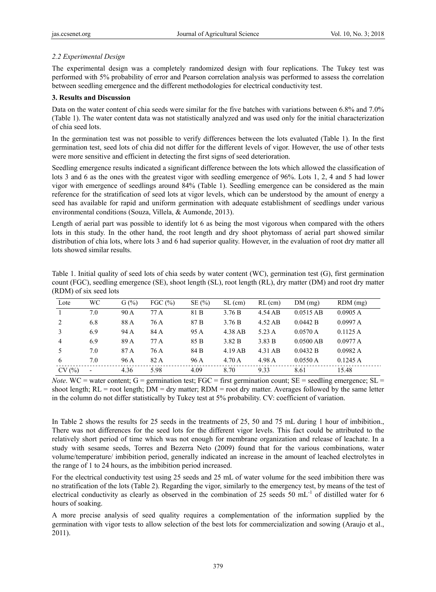## *2.2 Experimental Design*

The experimental design was a completely randomized design with four replications. The Tukey test was performed with 5% probability of error and Pearson correlation analysis was performed to assess the correlation between seedling emergence and the different methodologies for electrical conductivity test.

### **3. Results and Discussion**

Data on the water content of chia seeds were similar for the five batches with variations between 6.8% and 7.0% (Table 1). The water content data was not statistically analyzed and was used only for the initial characterization of chia seed lots.

In the germination test was not possible to verify differences between the lots evaluated (Table 1). In the first germination test, seed lots of chia did not differ for the different levels of vigor. However, the use of other tests were more sensitive and efficient in detecting the first signs of seed deterioration.

Seedling emergence results indicated a significant difference between the lots which allowed the classification of lots 3 and 6 as the ones with the greatest vigor with seedling emergence of 96%. Lots 1, 2, 4 and 5 had lower vigor with emergence of seedlings around 84% (Table 1). Seedling emergence can be considered as the main reference for the stratification of seed lots at vigor levels, which can be understood by the amount of energy a seed has available for rapid and uniform germination with adequate establishment of seedlings under various environmental conditions (Souza, Villela, & Aumonde, 2013).

Length of aerial part was possible to identify lot 6 as being the most vigorous when compared with the others lots in this study. In the other hand, the root length and dry shoot phytomass of aerial part showed similar distribution of chia lots, where lots 3 and 6 had superior quality. However, in the evaluation of root dry matter all lots showed similar results.

| Table 1. Initial quality of seed lots of chia seeds by water content (WC), germination test (G), first germination |
|--------------------------------------------------------------------------------------------------------------------|
| count (FGC), seedling emergence (SE), shoot length (SL), root length (RL), dry matter (DM) and root dry matter     |
| (RDM) of six seed lots                                                                                             |

| Lote           | WC             | G(%) | FGC $(\% )$ | SE(%) | $SL$ (cm) | $RL$ (cm) | DM(mg)      | $RDM$ (mg) |
|----------------|----------------|------|-------------|-------|-----------|-----------|-------------|------------|
|                | 7.0            | 90 A | 77 A        | 81 B  | 3.76 B    | 4.54 AB   | $0.0515$ AB | 0.0905 A   |
| 2              | 6.8            | 88 A | 76 A        | 87 B  | 3.76 B    | $4.52$ AB | 0.0442 B    | 0.0997 A   |
| 3              | 6.9            | 94 A | 84 A        | 95 A  | 4.38 AB   | 5.23 A    | 0.0570A     | 0.1125A    |
| $\overline{4}$ | 6.9            | 89 A | 77 A        | 85 B  | 3.82 B    | 3.83 B    | $0.0500$ AB | 0.0977 A   |
|                | 7.0            | 87 A | 76 A        | 84 B  | $4.19$ AB | 4.31 AB   | 0.0432 B    | 0.0982 A   |
| 6              | 7.0            | 96 A | 82 A        | 96 A  | 4.70A     | 4.98 A    | 0.0550 A    | 0.1245 A   |
| CV(%)          | $\blacksquare$ | 4.36 | 5.98        | 4.09  | 8.70      | 9.33      | 8.61        | 15.48      |

*Note*. WC = water content;  $G =$  germination test;  $FGC =$  first germination count;  $SE =$  seedling emergence;  $SL =$ shoot length; RL = root length; DM = dry matter; RDM = root dry matter. Averages followed by the same letter in the column do not differ statistically by Tukey test at 5% probability. CV: coefficient of variation.

In Table 2 shows the results for 25 seeds in the treatments of 25, 50 and 75 mL during 1 hour of imbibition., There was not differences for the seed lots for the different vigor levels. This fact could be attributed to the relatively short period of time which was not enough for membrane organization and release of leachate. In a study with sesame seeds, Torres and Bezerra Neto (2009) found that for the various combinations, water volume/temperature/ imbibition period, generally indicated an increase in the amount of leached electrolytes in the range of 1 to 24 hours, as the imbibition period increased.

For the electrical conductivity test using 25 seeds and 25 mL of water volume for the seed imbibition there was no stratification of the lots (Table 2). Regarding the vigor, similarly to the emergency test, by means of the test of electrical conductivity as clearly as observed in the combination of 25 seeds 50 mL<sup>-1</sup> of distilled water for 6 hours of soaking.

A more precise analysis of seed quality requires a complementation of the information supplied by the germination with vigor tests to allow selection of the best lots for commercialization and sowing (Araujo et al., 2011).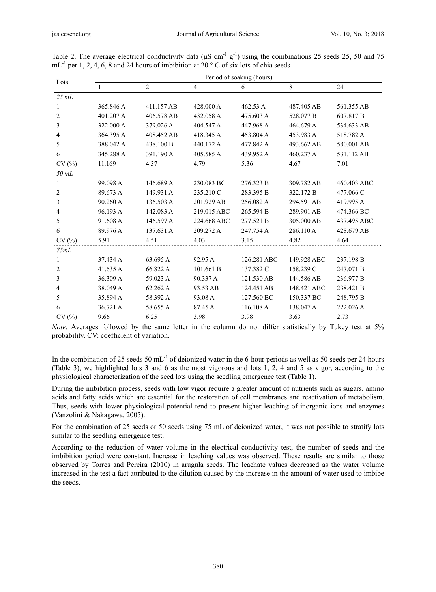| Lots           | Period of soaking (hours) |                |                |             |             |             |  |  |  |
|----------------|---------------------------|----------------|----------------|-------------|-------------|-------------|--|--|--|
|                | $\mathbf{1}$              | $\overline{c}$ | $\overline{4}$ | 6           | 8           | 24          |  |  |  |
| 25 mL          |                           |                |                |             |             |             |  |  |  |
| 1              | 365.846 A                 | 411.157 AB     | 428,000 A      | 462.53 A    | 487.405 AB  | 561.355 AB  |  |  |  |
| 2              | 401.207 A                 | 406.578 AB     | 432.058 A      | 475.603 A   | 528.077 B   | 607.817 B   |  |  |  |
| 3              | 322,000 A                 | 379.026 A      | 404.547 A      | 447.968 A   | 464.679 A   | 534.633 AB  |  |  |  |
| 4              | 364.395 A                 | 408.452 AB     | 418.345 A      | 453.804 A   | 453.983 A   | 518.782 A   |  |  |  |
| 5              | 388.042 A                 | 438.100 B      | 440.172 A      | 477.842 A   | 493.662 AB  | 580.001 AB  |  |  |  |
| 6              | 345.288 A                 | 391.190 A      | 405.585 A      | 439.952 A   | 460.237 A   | 531.112 AB  |  |  |  |
| CV(%)          | 11.169                    | 4.37           | 4.79           | 5.36        | 4.67        | 7.01        |  |  |  |
| 50 mL          |                           |                |                |             |             |             |  |  |  |
| 1              | 99.098 A                  | 146.689 A      | 230.083 BC     | 276.323 B   | 309.782 AB  | 460.403 ABC |  |  |  |
| $\overline{2}$ | 89.673 A                  | 149.931 A      | 235.210 C      | 283.395 B   | 322.172 B   | 477.066 C   |  |  |  |
| 3              | 90.260 A                  | 136.503 A      | 201.929 AB     | 256.082 A   | 294.591 AB  | 419.995 A   |  |  |  |
| 4              | 96.193 A                  | 142.083 A      | 219.015 ABC    | 265.594 B   | 289.901 AB  | 474.366 BC  |  |  |  |
| 5              | 91.608 A                  | 146.597 A      | 224.668 ABC    | 277.521 B   | 305.000 AB  | 437.495 ABC |  |  |  |
| 6              | 89.976 A                  | 137.631 A      | 209.272 A      | 247.754 A   | 286.110 A   | 428.679 AB  |  |  |  |
| CV(%)          | 5.91                      | 4.51           | 4.03           | 3.15        | 4.82        | 4.64        |  |  |  |
| 75mL           |                           |                |                |             |             |             |  |  |  |
| 1              | 37.434 A                  | 63.695 A       | 92.95 A        | 126.281 ABC | 149.928 ABC | 237.198 B   |  |  |  |
| 2              | 41.635 A                  | 66.822 A       | 101.661 B      | 137.382 C   | 158.239 C   | 247.071 B   |  |  |  |
| 3              | 36.309 A                  | 59.023 A       | 90.337 A       | 121.530 AB  | 144.586 AB  | 236.977 B   |  |  |  |
| 4              | 38.049 A                  | 62.262 A       | 93.53 AB       | 124.451 AB  | 148.421 ABC | 238.421 B   |  |  |  |
| 5              | 35.894 A                  | 58.392 A       | 93.08 A        | 127.560 BC  | 150.337 BC  | 248.795 B   |  |  |  |
| 6              | 36.721 A                  | 58.655 A       | 87.45 A        | 116.108 A   | 138.047 A   | 222.026 A   |  |  |  |
| CV(%)          | 9.66                      | 6.25           | 3.98           | 3.98        | 3.63        | 2.73        |  |  |  |

Table 2. The average electrical conductivity data ( $\mu$ S cm<sup>-1</sup> g<sup>-1</sup>) using the combinations 25 seeds 25, 50 and 75  $mL^{-1}$  per 1, 2, 4, 6, 8 and 24 hours of imbibition at 20 ° C of six lots of chia seeds

*Note*. Averages followed by the same letter in the column do not differ statistically by Tukey test at 5% probability. CV: coefficient of variation.

In the combination of 25 seeds 50 mL<sup>-1</sup> of deionized water in the 6-hour periods as well as 50 seeds per 24 hours (Table 3), we highlighted lots 3 and 6 as the most vigorous and lots 1, 2, 4 and 5 as vigor, according to the physiological characterization of the seed lots using the seedling emergence test (Table 1).

During the imbibition process, seeds with low vigor require a greater amount of nutrients such as sugars, amino acids and fatty acids which are essential for the restoration of cell membranes and reactivation of metabolism. Thus, seeds with lower physiological potential tend to present higher leaching of inorganic ions and enzymes (Vanzolini & Nakagawa, 2005).

For the combination of 25 seeds or 50 seeds using 75 mL of deionized water, it was not possible to stratify lots similar to the seedling emergence test.

According to the reduction of water volume in the electrical conductivity test, the number of seeds and the imbibition period were constant. Increase in leaching values was observed. These results are similar to those observed by Torres and Pereira (2010) in arugula seeds. The leachate values decreased as the water volume increased in the test a fact attributed to the dilution caused by the increase in the amount of water used to imbibe the seeds.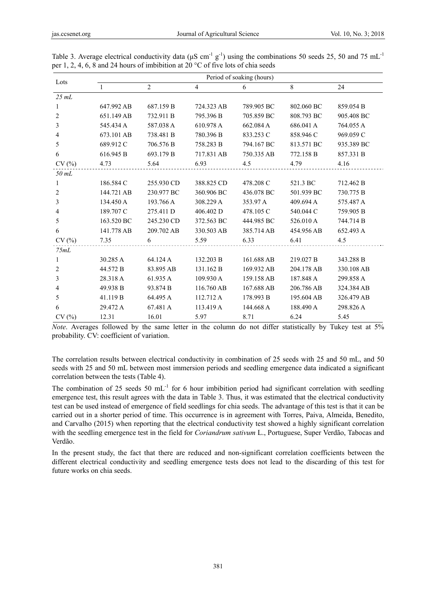| Lots  | Period of soaking (hours) |                |                |            |            |            |  |  |
|-------|---------------------------|----------------|----------------|------------|------------|------------|--|--|
|       | $\overline{1}$            | $\overline{2}$ | $\overline{4}$ | 6          | 8          | 24         |  |  |
| 25 mL |                           |                |                |            |            |            |  |  |
| 1     | 647.992 AB                | 687.159 B      | 724.323 AB     | 789.905 BC | 802.060 BC | 859.054 B  |  |  |
| 2     | 651.149 AB                | 732.911 B      | 795.396 B      | 705.859 BC | 808.793 BC | 905.408 BC |  |  |
| 3     | 545.434 A                 | 587.038 A      | 610.978 A      | 662.084 A  | 686.041 A  | 764.055 A  |  |  |
| 4     | 673.101 AB                | 738.481 B      | 780.396 B      | 833.253 C  | 858.946 C  | 969.059 C  |  |  |
| 5     | 689.912 C                 | 706.576 B      | 758.283 B      | 794.167 BC | 813.571 BC | 935.389 BC |  |  |
| 6     | 616.945 B                 | 693.179 B      | 717.831 AB     | 750.335 AB | 772.158 B  | 857.331 B  |  |  |
| CV(%) | 4.73                      | 5.64           | 6.93           | 4.5        | 4.79       | 4.16       |  |  |
| 50 mL |                           |                |                |            |            |            |  |  |
| 1     | 186.584 C                 | 255.930 CD     | 388.825 CD     | 478.208 C  | 521.3 BC   | 712.462 B  |  |  |
| 2     | 144.721 AB                | 230.977 BC     | 360.906 BC     | 436.078 BC | 501.939 BC | 730.775 B  |  |  |
| 3     | 134.450 A                 | 193.766 A      | 308.229 A      | 353.97 A   | 409.694 A  | 575.487 A  |  |  |
| 4     | 189.707 C                 | 275.411 D      | 406.402 D      | 478.105 C  | 540.044 C  | 759.905 B  |  |  |
| 5     | 163.520 BC                | 245.230 CD     | 372.563 BC     | 444.985 BC | 526.010 A  | 744.714 B  |  |  |
| 6     | 141.778 AB                | 209.702 AB     | 330.503 AB     | 385.714 AB | 454.956 AB | 652.493 A  |  |  |
| CV(%) | 7.35                      | 6              | 5.59           | 6.33       | 6.41       | 4.5        |  |  |
| 75mL  |                           |                |                |            |            |            |  |  |
| 1     | 30.285 A                  | 64.124 A       | 132.203 B      | 161.688 AB | 219.027 B  | 343.288 B  |  |  |
| 2     | 44.572 B                  | 83.895 AB      | 131.162 B      | 169.932 AB | 204.178 AB | 330.108 AB |  |  |
| 3     | 28.318 A                  | 61.935 A       | 109.930 A      | 159.158 AB | 187.848 A  | 299.858 A  |  |  |
| 4     | 49.938 B                  | 93.874 B       | 116.760 AB     | 167.688 AB | 206.786 AB | 324.384 AB |  |  |
| 5     | 41.119 B                  | 64.495 A       | 112.712 A      | 178.993 B  | 195.604 AB | 326.479 AB |  |  |
| 6     | 29.472 A                  | 67.481 A       | 113.419 A      | 144.668 A  | 188.490 A  | 298.826 A  |  |  |
| CV(%) | 12.31                     | 16.01          | 5.97           | 8.71       | 6.24       | 5.45       |  |  |

Table 3. Average electrical conductivity data ( $\mu$ S cm<sup>-1</sup> g<sup>-1</sup>) using the combinations 50 seeds 25, 50 and 75 mL<sup>-1</sup> per 1, 2, 4, 6, 8 and 24 hours of imbibition at 20 °C of five lots of chia seeds

*Note*. Averages followed by the same letter in the column do not differ statistically by Tukey test at 5% probability. CV: coefficient of variation.

The correlation results between electrical conductivity in combination of 25 seeds with 25 and 50 mL, and 50 seeds with 25 and 50 mL between most immersion periods and seedling emergence data indicated a significant correlation between the tests (Table 4).

The combination of 25 seeds 50  $mL^{-1}$  for 6 hour imbibition period had significant correlation with seedling emergence test, this result agrees with the data in Table 3. Thus, it was estimated that the electrical conductivity test can be used instead of emergence of field seedlings for chia seeds. The advantage of this test is that it can be carried out in a shorter period of time. This occurrence is in agreement with Torres, Paiva, Almeida, Benedito, and Carvalho (2015) when reporting that the electrical conductivity test showed a highly significant correlation with the seedling emergence test in the field for *Coriandrum sativum* L., Portuguese, Super Verdão, Tabocas and Verdão.

In the present study, the fact that there are reduced and non-significant correlation coefficients between the different electrical conductivity and seedling emergence tests does not lead to the discarding of this test for future works on chia seeds.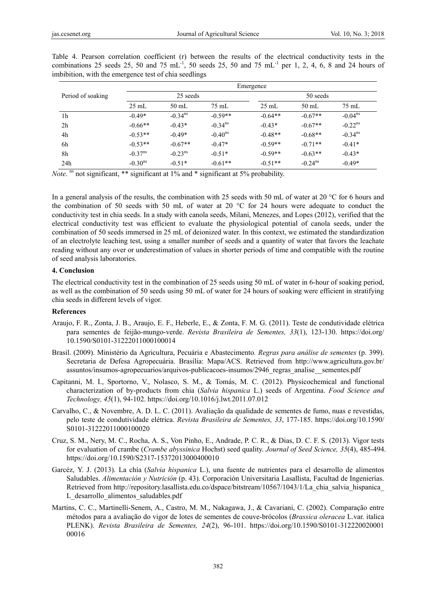|                   | Emergence             |                       |                       |                 |                       |                       |  |
|-------------------|-----------------------|-----------------------|-----------------------|-----------------|-----------------------|-----------------------|--|
| Period of soaking |                       | 25 seeds              |                       | 50 seeds        |                       |                       |  |
|                   | $25 \text{ mL}$       | 50 mL                 | $75 \text{ mL}$       | $25 \text{ mL}$ | $50 \text{ mL}$       | $75 \text{ mL}$       |  |
| 1 <sub>h</sub>    | $-0.49*$              | $-0.34$ <sup>ns</sup> | $-0.59**$             | $-0.64**$       | $-0.67**$             | $-0.04^{\text{ns}}$   |  |
| 2 <sub>h</sub>    | $-0.66**$             | $-0.43*$              | $-0.34$ <sup>ns</sup> | $-0.43*$        | $-0.67**$             | $-0.22$ <sup>ns</sup> |  |
| 4h                | $-0.53**$             | $-0.49*$              | $-0.40^{\text{ns}}$   | $-0.48**$       | $-0.68**$             | $-0.34$ <sup>ns</sup> |  |
| 6h                | $-0.53**$             | $-0.67**$             | $-0.47*$              | $-0.59**$       | $-0.71**$             | $-0.41*$              |  |
| 8h                | $-0.37$ <sup>ns</sup> | $-0.23$ <sup>ns</sup> | $-0.51*$              | $-0.59**$       | $-0.63**$             | $-0.43*$              |  |
| 24h               | $-0.30^{\text{ns}}$   | $-0.51*$              | $-0.61**$             | $-0.51**$       | $-0.24$ <sup>ns</sup> | $-0.49*$              |  |

Table 4. Pearson correlation coefficient (r) between the results of the electrical conductivity tests in the combinations 25 seeds 25, 50 and 75  $mL<sup>-1</sup>$ , 50 seeds 25, 50 and 75  $mL<sup>-1</sup>$  per 1, 2, 4, 6, 8 and 24 hours of imbibition, with the emergence test of chia seedlings

*Note*. <sup>ns</sup> not significant, \*\* significant at 1% and \* significant at 5% probability.

In a general analysis of the results, the combination with 25 seeds with 50 mL of water at 20 °C for 6 hours and the combination of 50 seeds with 50 mL of water at 20 °C for 24 hours were adequate to conduct the conductivity test in chia seeds. In a study with canola seeds, Milani, Menezes, and Lopes (2012), verified that the electrical conductivity test was efficient to evaluate the physiological potential of canola seeds, under the combination of 50 seeds immersed in 25 mL of deionized water. In this context, we estimated the standardization of an electrolyte leaching test, using a smaller number of seeds and a quantity of water that favors the leachate reading without any over or underestimation of values in shorter periods of time and compatible with the routine of seed analysis laboratories.

#### **4. Conclusion**

The electrical conductivity test in the combination of 25 seeds using 50 mL of water in 6-hour of soaking period, as well as the combination of 50 seeds using 50 mL of water for 24 hours of soaking were efficient in stratifying chia seeds in different levels of vigor.

#### **References**

- Araujo, F. R., Zonta, J. B., Araujo, E. F., Heberle, E., & Zonta, F. M. G. (2011). Teste de condutividade elétrica para sementes de feijão-mungo-verde. *Revista Brasileira de Sementes, 33*(1), 123-130. https://doi.org/ 10.1590/S0101-31222011000100014
- Brasil. (2009). Ministério da Agricultura, Pecuária e Abastecimento*. Regras para análise de sementes* (p. 399). Secretaria de Defesa Agropecuária. Brasília: Mapa/ACS. Retrieved from http://www.agricultura.gov.br/ assuntos/insumos-agropecuarios/arquivos-publicacoes-insumos/2946\_regras\_analise\_\_sementes.pdf
- Capitanni, M. I., Sportorno, V., Nolasco, S. M., & Tomás, M. C. (2012). Physicochemical and functional characterization of by-products from chia (*Salvia hispanica* L.) seeds of Argentina. *Food Science and Technology, 45*(1), 94-102. https://doi.org/10.1016/j.lwt.2011.07.012
- Carvalho, C., & Novembre, A. D. L. C. (2011). Avaliação da qualidade de sementes de fumo, nuas e revestidas, pelo teste de condutividade elétrica. *Revista Brasileira de Sementes, 33*, 177-185. https://doi.org/10.1590/ S0101-31222011000100020
- Cruz, S. M., Nery, M. C., Rocha, A. S., Von Pinho, E., Andrade, P. C. R., & Dias, D. C. F. S. (2013). Vigor tests for evaluation of crambe (*Crambe abyssinica* Hochst) seed quality. *Journal of Seed Science, 35*(4), 485-494. https://doi.org/10.1590/S2317-15372013000400010
- Garcéz, Y. J. (2013). La chía (*Salvia hispanica* L.), una fuente de nutrientes para el desarrollo de alimentos Saludables. *Alimentación y Nutrición* (p. 43). Corporación Universitaria Lasallista, Facultad de Ingenierías. Retrieved from http://repository.lasallista.edu.co/dspace/bitstream/10567/1043/1/La\_chia\_salvia\_hispanica L\_desarrollo\_alimentos\_saludables.pdf
- Martins, C. C., Martinelli-Senem, A., Castro, M. M., Nakagawa, J., & Cavariani, C. (2002). Comparação entre métodos para a avaliação do vigor de lotes de sementes de couve-brócolos (*Brassica oleracea* L.var. italica PLENK). *Revista Brasileira de Sementes, 24*(2), 96-101. https://doi.org/10.1590/S0101-312220020001 00016